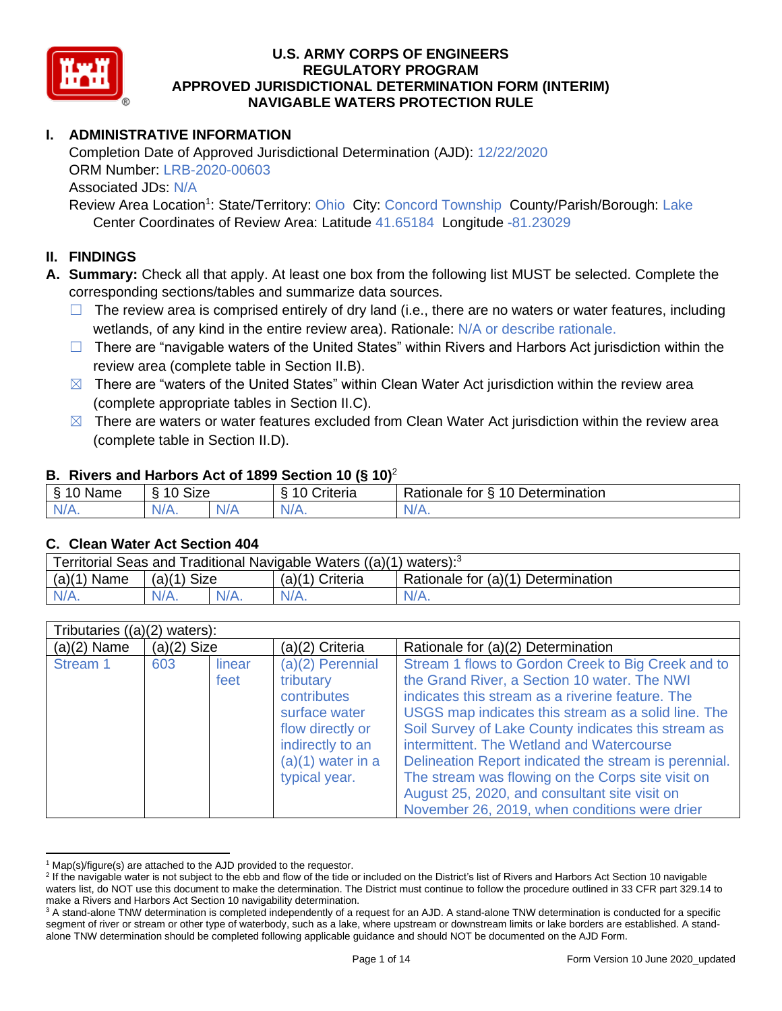

# **I. ADMINISTRATIVE INFORMATION**

Completion Date of Approved Jurisdictional Determination (AJD): 12/22/2020 ORM Number: LRB-2020-00603 Associated JDs: N/A

Review Area Location<sup>1</sup>: State/Territory: Ohio City: Concord Township County/Parish/Borough: Lake Center Coordinates of Review Area: Latitude 41.65184 Longitude -81.23029

#### **II. FINDINGS**

**A. Summary:** Check all that apply. At least one box from the following list MUST be selected. Complete the corresponding sections/tables and summarize data sources.

- $\Box$  The review area is comprised entirely of dry land (i.e., there are no waters or water features, including wetlands, of any kind in the entire review area). Rationale: N/A or describe rationale.
- $\Box$  There are "navigable waters of the United States" within Rivers and Harbors Act jurisdiction within the review area (complete table in Section II.B).
- $\boxtimes$  There are "waters of the United States" within Clean Water Act jurisdiction within the review area (complete appropriate tables in Section II.C).
- $\boxtimes$  There are waters or water features excluded from Clean Water Act jurisdiction within the review area (complete table in Section II.D).

#### **B. Rivers and Harbors Act of 1899 Section 10 (§ 10)**<sup>2</sup>

|              | $\cdot$                |     |          |                                                                 |  |  |  |
|--------------|------------------------|-----|----------|-----------------------------------------------------------------|--|--|--|
| 810N<br>™ame | <b>Size</b><br>10<br>↷ |     | `rıterıa | ↑ Determination<br>$\Lambda$ $\Lambda$<br>Rationale<br>tor<br>P |  |  |  |
| $N/A$ .      | $N/A$ .                | N/A | N/A.     | $\mathbf{v}$                                                    |  |  |  |

#### **C. Clean Water Act Section 404**

| Territorial Seas and Traditional Navigable Waters $((a)(1)$ waters): <sup>3</sup> |               |  |                   |                                    |  |  |
|-----------------------------------------------------------------------------------|---------------|--|-------------------|------------------------------------|--|--|
| (a)(1)<br>Name                                                                    | $(a)(1)$ Size |  | $(a)(1)$ Criteria | Rationale for (a)(1) Determination |  |  |
|                                                                                   | $N/A$ .       |  | $N/A$ .           | $N/A$ .                            |  |  |

|               | Tributaries $((a)(2)$ waters): |                |                                                                                                                                                 |                                                                                                                                                                                                                                                                                                                                                                                                                                                                                                                                   |  |  |  |
|---------------|--------------------------------|----------------|-------------------------------------------------------------------------------------------------------------------------------------------------|-----------------------------------------------------------------------------------------------------------------------------------------------------------------------------------------------------------------------------------------------------------------------------------------------------------------------------------------------------------------------------------------------------------------------------------------------------------------------------------------------------------------------------------|--|--|--|
| $(a)(2)$ Name | $(a)(2)$ Size                  |                | $(a)(2)$ Criteria                                                                                                                               | Rationale for (a)(2) Determination                                                                                                                                                                                                                                                                                                                                                                                                                                                                                                |  |  |  |
| Stream 1      | 603                            | linear<br>feet | $(a)(2)$ Perennial<br>tributary<br>contributes<br>surface water<br>flow directly or<br>indirectly to an<br>$(a)(1)$ water in a<br>typical year. | Stream 1 flows to Gordon Creek to Big Creek and to<br>the Grand River, a Section 10 water. The NWI<br>indicates this stream as a riverine feature. The<br>USGS map indicates this stream as a solid line. The<br>Soil Survey of Lake County indicates this stream as<br>intermittent. The Wetland and Watercourse<br>Delineation Report indicated the stream is perennial.<br>The stream was flowing on the Corps site visit on<br>August 25, 2020, and consultant site visit on<br>November 26, 2019, when conditions were drier |  |  |  |

 $1$  Map(s)/figure(s) are attached to the AJD provided to the requestor.

<sup>&</sup>lt;sup>2</sup> If the navigable water is not subject to the ebb and flow of the tide or included on the District's list of Rivers and Harbors Act Section 10 navigable waters list, do NOT use this document to make the determination. The District must continue to follow the procedure outlined in 33 CFR part 329.14 to make a Rivers and Harbors Act Section 10 navigability determination.

<sup>&</sup>lt;sup>3</sup> A stand-alone TNW determination is completed independently of a request for an AJD. A stand-alone TNW determination is conducted for a specific segment of river or stream or other type of waterbody, such as a lake, where upstream or downstream limits or lake borders are established. A standalone TNW determination should be completed following applicable guidance and should NOT be documented on the AJD Form.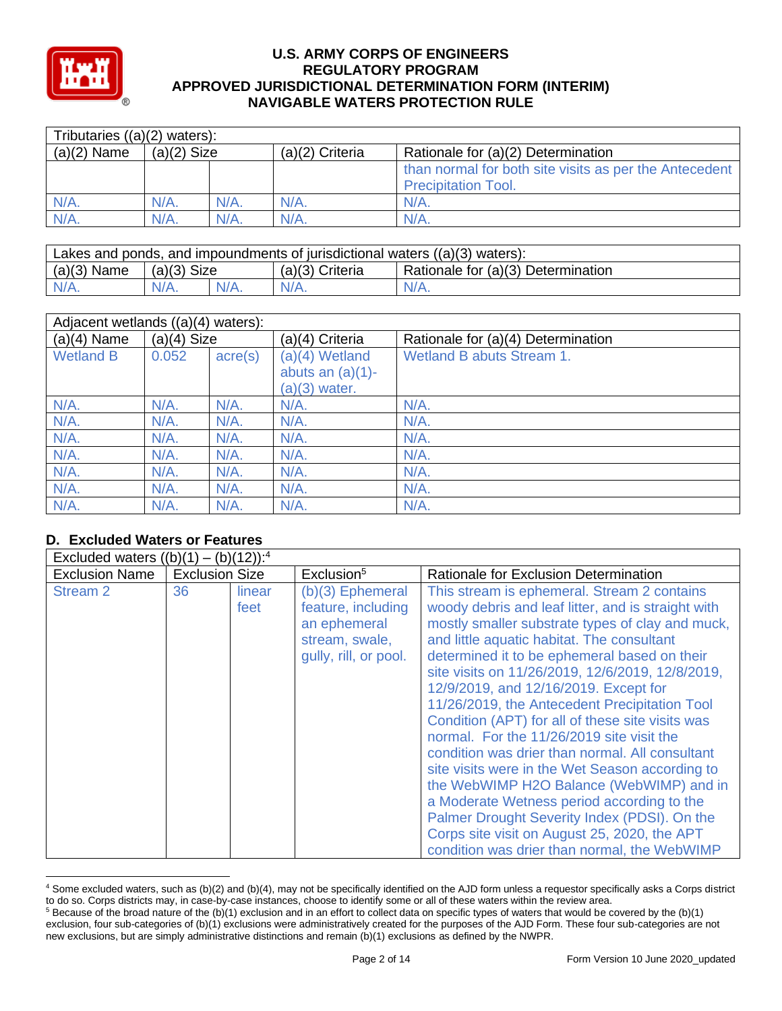

| Tributaries $((a)(2)$ waters): |               |         |                   |                                                                                      |  |  |
|--------------------------------|---------------|---------|-------------------|--------------------------------------------------------------------------------------|--|--|
| $(a)(2)$ Name                  | $(a)(2)$ Size |         | $(a)(2)$ Criteria | Rationale for (a)(2) Determination                                                   |  |  |
|                                |               |         |                   | than normal for both site visits as per the Antecedent<br><b>Precipitation Tool.</b> |  |  |
| $N/A$ .                        | $N/A$ .       | $N/A$ . | $N/A$ .           | N/A                                                                                  |  |  |
| $N/A$ .                        | N/A.          | $N/A$ . | $N/A$ .           | N/A                                                                                  |  |  |

| Lakes and ponds, and impoundments of jurisdictional waters $((a)(3)$ waters): |               |  |                   |                                    |  |
|-------------------------------------------------------------------------------|---------------|--|-------------------|------------------------------------|--|
| $(a)(3)$ Name                                                                 | $(a)(3)$ Size |  | $(a)(3)$ Criteria | Rationale for (a)(3) Determination |  |
| $N/A$ .                                                                       | $N/A$ .       |  | $N/A$ .           | $N/A$ .                            |  |

| Adjacent wetlands $((a)(4)$ waters): |               |                  |                                                            |                                    |  |  |
|--------------------------------------|---------------|------------------|------------------------------------------------------------|------------------------------------|--|--|
| $(a)(4)$ Name                        | $(a)(4)$ Size |                  | (a)(4) Criteria                                            | Rationale for (a)(4) Determination |  |  |
| <b>Wetland B</b>                     | 0.052         | $\text{acre}(s)$ | $(a)(4)$ Wetland<br>abuts an $(a)(1)$ -<br>$(a)(3)$ water. | Wetland B abuts Stream 1.          |  |  |
| $N/A$ .                              | N/A.          | $N/A$ .          | $N/A$ .                                                    | $N/A$ .                            |  |  |
| $N/A$ .                              | $N/A$ .       | $N/A$ .          | $N/A$ .                                                    | $N/A$ .                            |  |  |
| $N/A$ .                              | $N/A$ .       | $N/A$ .          | $N/A$ .                                                    | $N/A$ .                            |  |  |
| $N/A$ .                              | $N/A$ .       | $N/A$ .          | $N/A$ .                                                    | $N/A$ .                            |  |  |
| $N/A$ .                              | $N/A$ .       | $N/A$ .          | $N/A$ .                                                    | $N/A$ .                            |  |  |
| $N/A$ .                              | $N/A$ .       | $N/A$ .          | $N/A$ .                                                    | $N/A$ .                            |  |  |
| $N/A$ .                              | $N/A$ .       | $N/A$ .          | $N/A$ .                                                    | $N/A$ .                            |  |  |

# **D. Excluded Waters or Features**

| Excluded waters $((b)(1) -$<br>$(12))$ : <sup>4</sup><br>(b) |                       |                |                                                                                                     |                                                                                                                                                                                                                                                                                                                                                                                                                                                                                                                                                                                                                                                                                                                                                                                                                                                    |  |  |  |
|--------------------------------------------------------------|-----------------------|----------------|-----------------------------------------------------------------------------------------------------|----------------------------------------------------------------------------------------------------------------------------------------------------------------------------------------------------------------------------------------------------------------------------------------------------------------------------------------------------------------------------------------------------------------------------------------------------------------------------------------------------------------------------------------------------------------------------------------------------------------------------------------------------------------------------------------------------------------------------------------------------------------------------------------------------------------------------------------------------|--|--|--|
| <b>Exclusion Name</b>                                        | <b>Exclusion Size</b> |                | Exclusion <sup>5</sup>                                                                              | Rationale for Exclusion Determination                                                                                                                                                                                                                                                                                                                                                                                                                                                                                                                                                                                                                                                                                                                                                                                                              |  |  |  |
| Stream 2                                                     | 36                    | linear<br>feet | $(b)(3)$ Ephemeral<br>feature, including<br>an ephemeral<br>stream, swale,<br>qully, rill, or pool. | This stream is ephemeral. Stream 2 contains<br>woody debris and leaf litter, and is straight with<br>mostly smaller substrate types of clay and muck,<br>and little aquatic habitat. The consultant<br>determined it to be ephemeral based on their<br>site visits on 11/26/2019, 12/6/2019, 12/8/2019,<br>12/9/2019, and 12/16/2019. Except for<br>11/26/2019, the Antecedent Precipitation Tool<br>Condition (APT) for all of these site visits was<br>normal. For the 11/26/2019 site visit the<br>condition was drier than normal. All consultant<br>site visits were in the Wet Season according to<br>the WebWIMP H2O Balance (WebWIMP) and in<br>a Moderate Wetness period according to the<br>Palmer Drought Severity Index (PDSI). On the<br>Corps site visit on August 25, 2020, the APT<br>condition was drier than normal, the WebWIMP |  |  |  |

<sup>4</sup> Some excluded waters, such as (b)(2) and (b)(4), may not be specifically identified on the AJD form unless a requestor specifically asks a Corps district to do so. Corps districts may, in case-by-case instances, choose to identify some or all of these waters within the review area.  $5$  Because of the broad nature of the (b)(1) exclusion and in an effort to collect data on specific types of waters that would be covered by the (b)(1)

exclusion, four sub-categories of (b)(1) exclusions were administratively created for the purposes of the AJD Form. These four sub-categories are not new exclusions, but are simply administrative distinctions and remain (b)(1) exclusions as defined by the NWPR.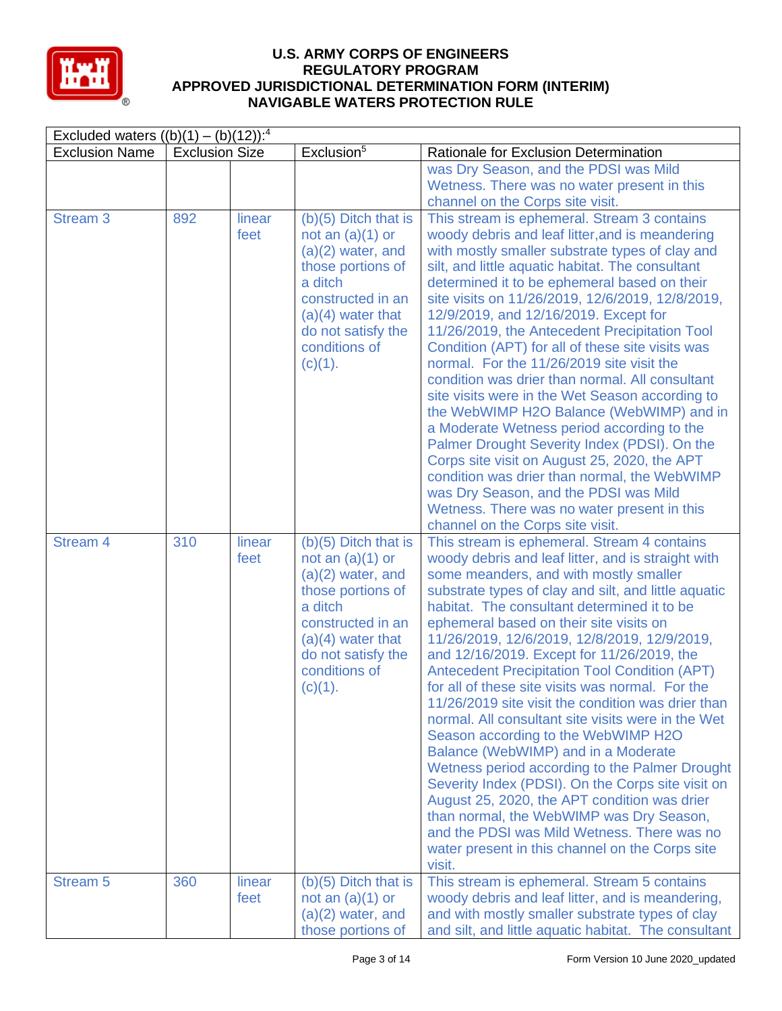

| Excluded waters $((b)(1) - (b)(12))$ : <sup>4</sup> |                       |                |                                                                                                                                                                                                   |                                                                                                                                                                                                                                                                                                                                                                                                                                                                                                                                                                                                                                                                                                                                                                                                                                                                                                                                                                                                                  |  |
|-----------------------------------------------------|-----------------------|----------------|---------------------------------------------------------------------------------------------------------------------------------------------------------------------------------------------------|------------------------------------------------------------------------------------------------------------------------------------------------------------------------------------------------------------------------------------------------------------------------------------------------------------------------------------------------------------------------------------------------------------------------------------------------------------------------------------------------------------------------------------------------------------------------------------------------------------------------------------------------------------------------------------------------------------------------------------------------------------------------------------------------------------------------------------------------------------------------------------------------------------------------------------------------------------------------------------------------------------------|--|
| <b>Exclusion Name</b>                               | <b>Exclusion Size</b> |                | Exclusion <sup>5</sup>                                                                                                                                                                            | Rationale for Exclusion Determination                                                                                                                                                                                                                                                                                                                                                                                                                                                                                                                                                                                                                                                                                                                                                                                                                                                                                                                                                                            |  |
|                                                     |                       |                |                                                                                                                                                                                                   | was Dry Season, and the PDSI was Mild<br>Wetness. There was no water present in this<br>channel on the Corps site visit.                                                                                                                                                                                                                                                                                                                                                                                                                                                                                                                                                                                                                                                                                                                                                                                                                                                                                         |  |
| <b>Stream 3</b>                                     | 892                   | linear<br>feet | $(b)(5)$ Ditch that is<br>not an $(a)(1)$ or<br>$(a)(2)$ water, and<br>those portions of<br>a ditch<br>constructed in an<br>$(a)(4)$ water that<br>do not satisfy the<br>conditions of<br>(c)(1). | This stream is ephemeral. Stream 3 contains<br>woody debris and leaf litter, and is meandering<br>with mostly smaller substrate types of clay and<br>silt, and little aquatic habitat. The consultant<br>determined it to be ephemeral based on their<br>site visits on 11/26/2019, 12/6/2019, 12/8/2019,<br>12/9/2019, and 12/16/2019. Except for<br>11/26/2019, the Antecedent Precipitation Tool<br>Condition (APT) for all of these site visits was<br>normal. For the 11/26/2019 site visit the<br>condition was drier than normal. All consultant<br>site visits were in the Wet Season according to<br>the WebWIMP H2O Balance (WebWIMP) and in<br>a Moderate Wetness period according to the<br>Palmer Drought Severity Index (PDSI). On the<br>Corps site visit on August 25, 2020, the APT<br>condition was drier than normal, the WebWIMP<br>was Dry Season, and the PDSI was Mild<br>Wetness. There was no water present in this<br>channel on the Corps site visit.                                 |  |
| Stream <sub>4</sub>                                 | 310                   | linear<br>feet | $(b)(5)$ Ditch that is<br>not an $(a)(1)$ or<br>$(a)(2)$ water, and<br>those portions of<br>a ditch<br>constructed in an<br>$(a)(4)$ water that<br>do not satisfy the<br>conditions of<br>(c)(1). | This stream is ephemeral. Stream 4 contains<br>woody debris and leaf litter, and is straight with<br>some meanders, and with mostly smaller<br>substrate types of clay and silt, and little aquatic<br>habitat. The consultant determined it to be<br>ephemeral based on their site visits on<br>11/26/2019, 12/6/2019, 12/8/2019, 12/9/2019,<br>and 12/16/2019. Except for 11/26/2019, the<br><b>Antecedent Precipitation Tool Condition (APT)</b><br>for all of these site visits was normal. For the<br>11/26/2019 site visit the condition was drier than<br>normal. All consultant site visits were in the Wet<br>Season according to the WebWIMP H2O<br>Balance (WebWIMP) and in a Moderate<br>Wetness period according to the Palmer Drought<br>Severity Index (PDSI). On the Corps site visit on<br>August 25, 2020, the APT condition was drier<br>than normal, the WebWIMP was Dry Season,<br>and the PDSI was Mild Wetness. There was no<br>water present in this channel on the Corps site<br>visit. |  |
| <b>Stream 5</b>                                     | 360                   | linear<br>feet | $(b)(5)$ Ditch that is<br>not an $(a)(1)$ or<br>$(a)(2)$ water, and<br>those portions of                                                                                                          | This stream is ephemeral. Stream 5 contains<br>woody debris and leaf litter, and is meandering,<br>and with mostly smaller substrate types of clay<br>and silt, and little aquatic habitat. The consultant                                                                                                                                                                                                                                                                                                                                                                                                                                                                                                                                                                                                                                                                                                                                                                                                       |  |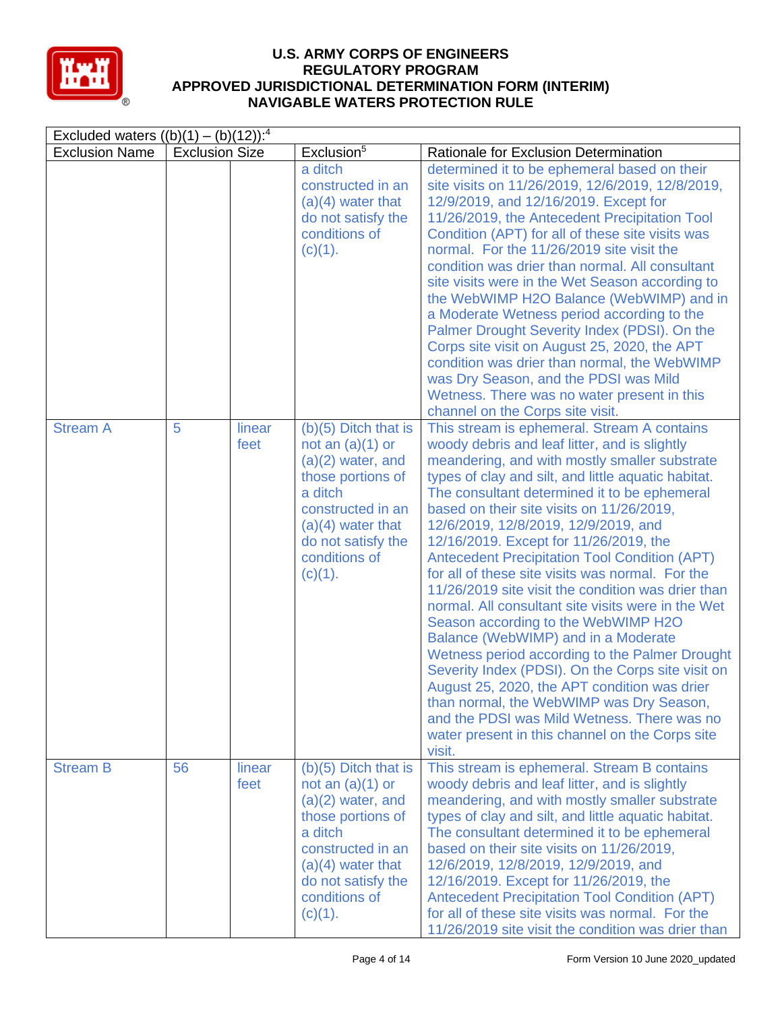

| Excluded waters $((b)(1) - (b)(12))$ : <sup>4</sup> |                       |                |                                                                                                                                                                                                   |                                                                                                                                                                                                                                                                                                                                                                                                                                                                                                                                                                                                                                                                                                                                                                                                                                                                                                                                                                                                          |  |
|-----------------------------------------------------|-----------------------|----------------|---------------------------------------------------------------------------------------------------------------------------------------------------------------------------------------------------|----------------------------------------------------------------------------------------------------------------------------------------------------------------------------------------------------------------------------------------------------------------------------------------------------------------------------------------------------------------------------------------------------------------------------------------------------------------------------------------------------------------------------------------------------------------------------------------------------------------------------------------------------------------------------------------------------------------------------------------------------------------------------------------------------------------------------------------------------------------------------------------------------------------------------------------------------------------------------------------------------------|--|
| <b>Exclusion Name</b>                               | <b>Exclusion Size</b> |                | Exclusion <sup>5</sup>                                                                                                                                                                            | Rationale for Exclusion Determination                                                                                                                                                                                                                                                                                                                                                                                                                                                                                                                                                                                                                                                                                                                                                                                                                                                                                                                                                                    |  |
|                                                     |                       |                | a ditch<br>constructed in an<br>$(a)(4)$ water that<br>do not satisfy the<br>conditions of<br>$(c)(1)$ .                                                                                          | determined it to be ephemeral based on their<br>site visits on 11/26/2019, 12/6/2019, 12/8/2019,<br>12/9/2019, and 12/16/2019. Except for<br>11/26/2019, the Antecedent Precipitation Tool<br>Condition (APT) for all of these site visits was<br>normal. For the 11/26/2019 site visit the<br>condition was drier than normal. All consultant<br>site visits were in the Wet Season according to<br>the WebWIMP H2O Balance (WebWIMP) and in<br>a Moderate Wetness period according to the<br>Palmer Drought Severity Index (PDSI). On the<br>Corps site visit on August 25, 2020, the APT<br>condition was drier than normal, the WebWIMP<br>was Dry Season, and the PDSI was Mild<br>Wetness. There was no water present in this<br>channel on the Corps site visit.                                                                                                                                                                                                                                  |  |
| <b>Stream A</b>                                     | 5                     | linear<br>feet | $(b)(5)$ Ditch that is<br>not an $(a)(1)$ or<br>$(a)(2)$ water, and<br>those portions of<br>a ditch<br>constructed in an<br>$(a)(4)$ water that<br>do not satisfy the<br>conditions of<br>(c)(1). | This stream is ephemeral. Stream A contains<br>woody debris and leaf litter, and is slightly<br>meandering, and with mostly smaller substrate<br>types of clay and silt, and little aquatic habitat.<br>The consultant determined it to be ephemeral<br>based on their site visits on 11/26/2019,<br>12/6/2019, 12/8/2019, 12/9/2019, and<br>12/16/2019. Except for 11/26/2019, the<br><b>Antecedent Precipitation Tool Condition (APT)</b><br>for all of these site visits was normal. For the<br>11/26/2019 site visit the condition was drier than<br>normal. All consultant site visits were in the Wet<br>Season according to the WebWIMP H2O<br>Balance (WebWIMP) and in a Moderate<br>Wetness period according to the Palmer Drought<br>Severity Index (PDSI). On the Corps site visit on<br>August 25, 2020, the APT condition was drier<br>than normal, the WebWIMP was Dry Season,<br>and the PDSI was Mild Wetness. There was no<br>water present in this channel on the Corps site<br>visit. |  |
| <b>Stream B</b>                                     | 56                    | linear<br>feet | $(b)(5)$ Ditch that is<br>not an $(a)(1)$ or<br>$(a)(2)$ water, and<br>those portions of<br>a ditch<br>constructed in an<br>$(a)(4)$ water that<br>do not satisfy the<br>conditions of<br>(c)(1). | This stream is ephemeral. Stream B contains<br>woody debris and leaf litter, and is slightly<br>meandering, and with mostly smaller substrate<br>types of clay and silt, and little aquatic habitat.<br>The consultant determined it to be ephemeral<br>based on their site visits on 11/26/2019,<br>12/6/2019, 12/8/2019, 12/9/2019, and<br>12/16/2019. Except for 11/26/2019, the<br><b>Antecedent Precipitation Tool Condition (APT)</b><br>for all of these site visits was normal. For the<br>11/26/2019 site visit the condition was drier than                                                                                                                                                                                                                                                                                                                                                                                                                                                    |  |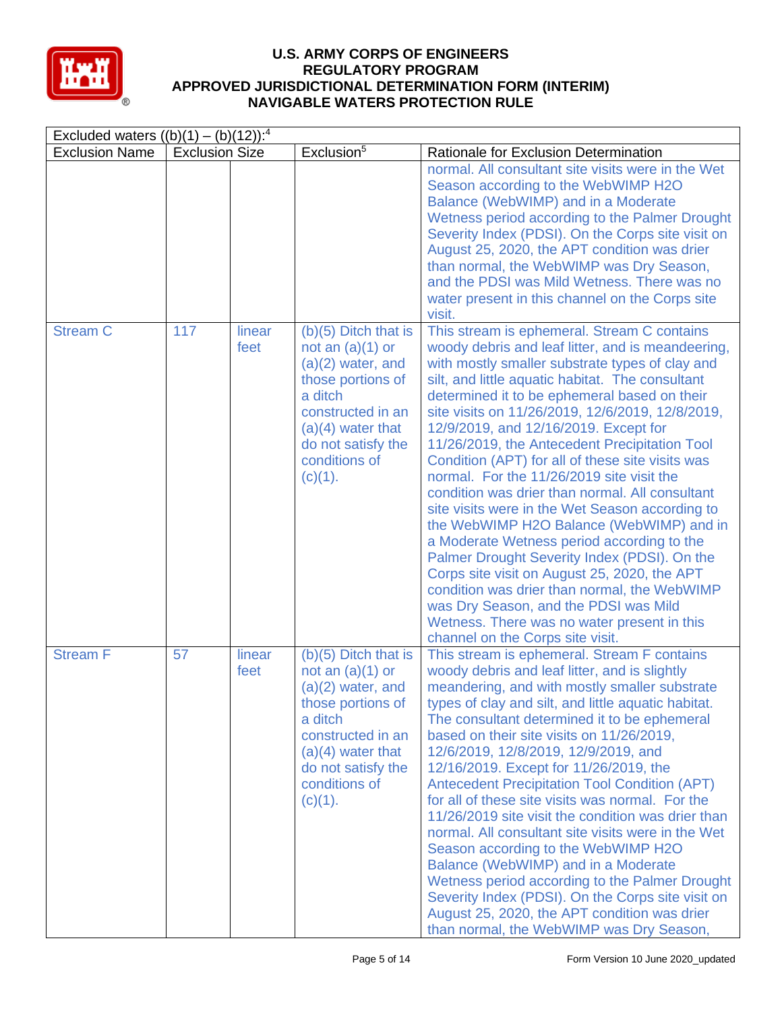

| Excluded waters $((b)(1) - (b)(12))$ : <sup>4</sup> |                       |                |                                                                                                                                                                                                      |                                                                                                                                                                                                                                                                                                                                                                                                                                                                                                                                                                                                                                                                                                                                                                                                                                                                                                                                                                                    |  |  |
|-----------------------------------------------------|-----------------------|----------------|------------------------------------------------------------------------------------------------------------------------------------------------------------------------------------------------------|------------------------------------------------------------------------------------------------------------------------------------------------------------------------------------------------------------------------------------------------------------------------------------------------------------------------------------------------------------------------------------------------------------------------------------------------------------------------------------------------------------------------------------------------------------------------------------------------------------------------------------------------------------------------------------------------------------------------------------------------------------------------------------------------------------------------------------------------------------------------------------------------------------------------------------------------------------------------------------|--|--|
| <b>Exclusion Name</b>                               | <b>Exclusion Size</b> |                | Exclusion <sup>5</sup>                                                                                                                                                                               | Rationale for Exclusion Determination                                                                                                                                                                                                                                                                                                                                                                                                                                                                                                                                                                                                                                                                                                                                                                                                                                                                                                                                              |  |  |
|                                                     |                       |                |                                                                                                                                                                                                      | normal. All consultant site visits were in the Wet<br>Season according to the WebWIMP H2O<br>Balance (WebWIMP) and in a Moderate<br>Wetness period according to the Palmer Drought<br>Severity Index (PDSI). On the Corps site visit on<br>August 25, 2020, the APT condition was drier<br>than normal, the WebWIMP was Dry Season,<br>and the PDSI was Mild Wetness. There was no<br>water present in this channel on the Corps site<br>visit.                                                                                                                                                                                                                                                                                                                                                                                                                                                                                                                                    |  |  |
| <b>Stream C</b>                                     | 117                   | linear<br>feet | $(b)(5)$ Ditch that is<br>not an $(a)(1)$ or<br>$(a)(2)$ water, and<br>those portions of<br>a ditch<br>constructed in an<br>$(a)(4)$ water that<br>do not satisfy the<br>conditions of<br>(c)(1).    | This stream is ephemeral. Stream C contains<br>woody debris and leaf litter, and is meandeering,<br>with mostly smaller substrate types of clay and<br>silt, and little aquatic habitat. The consultant<br>determined it to be ephemeral based on their<br>site visits on 11/26/2019, 12/6/2019, 12/8/2019,<br>12/9/2019, and 12/16/2019. Except for<br>11/26/2019, the Antecedent Precipitation Tool<br>Condition (APT) for all of these site visits was<br>normal. For the 11/26/2019 site visit the<br>condition was drier than normal. All consultant<br>site visits were in the Wet Season according to<br>the WebWIMP H2O Balance (WebWIMP) and in<br>a Moderate Wetness period according to the<br>Palmer Drought Severity Index (PDSI). On the<br>Corps site visit on August 25, 2020, the APT<br>condition was drier than normal, the WebWIMP<br>was Dry Season, and the PDSI was Mild<br>Wetness. There was no water present in this<br>channel on the Corps site visit. |  |  |
| <b>Stream F</b>                                     | 57                    | linear<br>feet | $(b)(5)$ Ditch that is<br>not an $(a)(1)$ or<br>$(a)(2)$ water, and<br>those portions of<br>a ditch<br>constructed in an<br>$(a)(4)$ water that<br>do not satisfy the<br>conditions of<br>$(c)(1)$ . | This stream is ephemeral. Stream F contains<br>woody debris and leaf litter, and is slightly<br>meandering, and with mostly smaller substrate<br>types of clay and silt, and little aquatic habitat.<br>The consultant determined it to be ephemeral<br>based on their site visits on 11/26/2019,<br>12/6/2019, 12/8/2019, 12/9/2019, and<br>12/16/2019. Except for 11/26/2019, the<br><b>Antecedent Precipitation Tool Condition (APT)</b><br>for all of these site visits was normal. For the<br>11/26/2019 site visit the condition was drier than<br>normal. All consultant site visits were in the Wet<br>Season according to the WebWIMP H2O<br>Balance (WebWIMP) and in a Moderate<br>Wetness period according to the Palmer Drought<br>Severity Index (PDSI). On the Corps site visit on<br>August 25, 2020, the APT condition was drier<br>than normal, the WebWIMP was Dry Season,                                                                                       |  |  |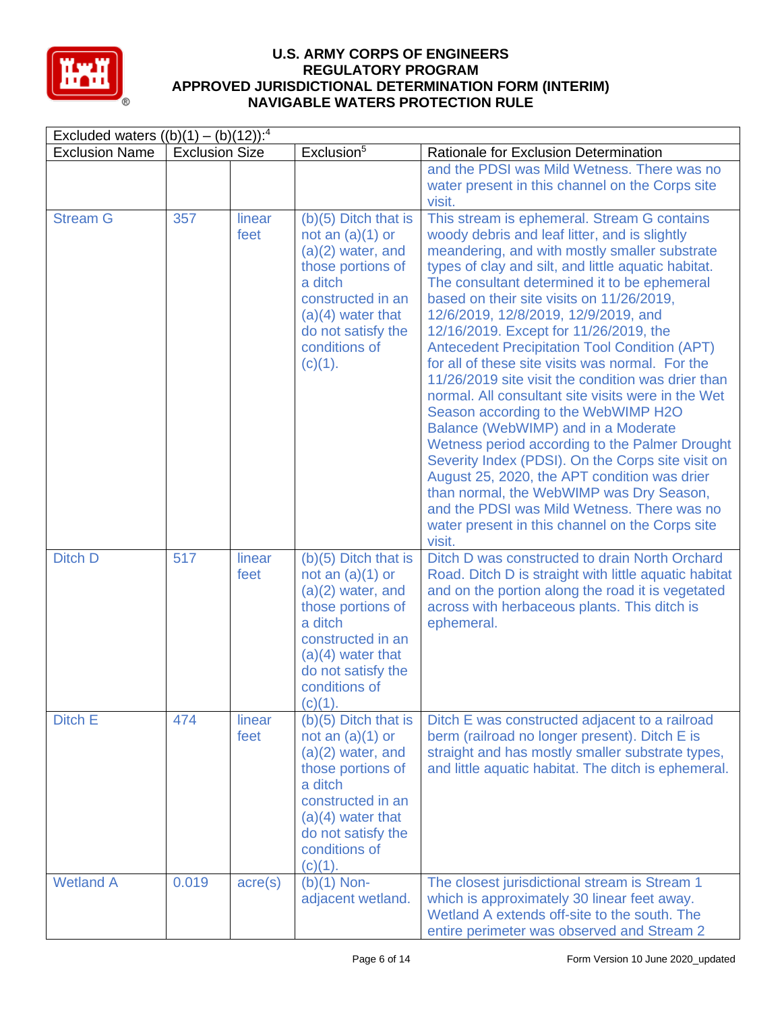

|                       | Excluded waters $((b)(1) - (b)(12))$ : <sup>4</sup> |                  |                                                                                                                                                                                                      |                                                                                                                                                                                                                                                                                                                                                                                                                                                                                                                                                                                                                                                                                                                                                                                                                                                                                                                                                                                                          |  |  |  |
|-----------------------|-----------------------------------------------------|------------------|------------------------------------------------------------------------------------------------------------------------------------------------------------------------------------------------------|----------------------------------------------------------------------------------------------------------------------------------------------------------------------------------------------------------------------------------------------------------------------------------------------------------------------------------------------------------------------------------------------------------------------------------------------------------------------------------------------------------------------------------------------------------------------------------------------------------------------------------------------------------------------------------------------------------------------------------------------------------------------------------------------------------------------------------------------------------------------------------------------------------------------------------------------------------------------------------------------------------|--|--|--|
| <b>Exclusion Name</b> | <b>Exclusion Size</b>                               |                  | Exclusion <sup>5</sup>                                                                                                                                                                               | Rationale for Exclusion Determination                                                                                                                                                                                                                                                                                                                                                                                                                                                                                                                                                                                                                                                                                                                                                                                                                                                                                                                                                                    |  |  |  |
|                       |                                                     |                  |                                                                                                                                                                                                      | and the PDSI was Mild Wetness. There was no<br>water present in this channel on the Corps site<br>visit.                                                                                                                                                                                                                                                                                                                                                                                                                                                                                                                                                                                                                                                                                                                                                                                                                                                                                                 |  |  |  |
| <b>Stream G</b>       | 357                                                 | linear<br>feet   | $(b)(5)$ Ditch that is<br>not an $(a)(1)$ or<br>$(a)(2)$ water, and<br>those portions of<br>a ditch<br>constructed in an<br>$(a)(4)$ water that<br>do not satisfy the<br>conditions of<br>(c)(1).    | This stream is ephemeral. Stream G contains<br>woody debris and leaf litter, and is slightly<br>meandering, and with mostly smaller substrate<br>types of clay and silt, and little aquatic habitat.<br>The consultant determined it to be ephemeral<br>based on their site visits on 11/26/2019,<br>12/6/2019, 12/8/2019, 12/9/2019, and<br>12/16/2019. Except for 11/26/2019, the<br><b>Antecedent Precipitation Tool Condition (APT)</b><br>for all of these site visits was normal. For the<br>11/26/2019 site visit the condition was drier than<br>normal. All consultant site visits were in the Wet<br>Season according to the WebWIMP H2O<br>Balance (WebWIMP) and in a Moderate<br>Wetness period according to the Palmer Drought<br>Severity Index (PDSI). On the Corps site visit on<br>August 25, 2020, the APT condition was drier<br>than normal, the WebWIMP was Dry Season,<br>and the PDSI was Mild Wetness. There was no<br>water present in this channel on the Corps site<br>visit. |  |  |  |
| Ditch D               | 517                                                 | linear<br>feet   | $(b)(5)$ Ditch that is<br>not an $(a)(1)$ or<br>$(a)(2)$ water, and<br>those portions of<br>a ditch<br>constructed in an<br>$(a)(4)$ water that<br>do not satisfy the<br>conditions of<br>$(c)(1)$ . | Ditch D was constructed to drain North Orchard<br>Road. Ditch D is straight with little aquatic habitat<br>and on the portion along the road it is vegetated<br>across with herbaceous plants. This ditch is<br>ephemeral.                                                                                                                                                                                                                                                                                                                                                                                                                                                                                                                                                                                                                                                                                                                                                                               |  |  |  |
| Ditch E               | 474                                                 | linear<br>feet   | $(b)(5)$ Ditch that is<br>not an $(a)(1)$ or<br>$(a)(2)$ water, and<br>those portions of<br>a ditch<br>constructed in an<br>$(a)(4)$ water that<br>do not satisfy the<br>conditions of<br>(c)(1).    | Ditch E was constructed adjacent to a railroad<br>berm (railroad no longer present). Ditch E is<br>straight and has mostly smaller substrate types,<br>and little aquatic habitat. The ditch is ephemeral.                                                                                                                                                                                                                                                                                                                                                                                                                                                                                                                                                                                                                                                                                                                                                                                               |  |  |  |
| <b>Wetland A</b>      | 0.019                                               | $\text{acre}(s)$ | $(b)(1)$ Non-<br>adjacent wetland.                                                                                                                                                                   | The closest jurisdictional stream is Stream 1<br>which is approximately 30 linear feet away.<br>Wetland A extends off-site to the south. The<br>entire perimeter was observed and Stream 2                                                                                                                                                                                                                                                                                                                                                                                                                                                                                                                                                                                                                                                                                                                                                                                                               |  |  |  |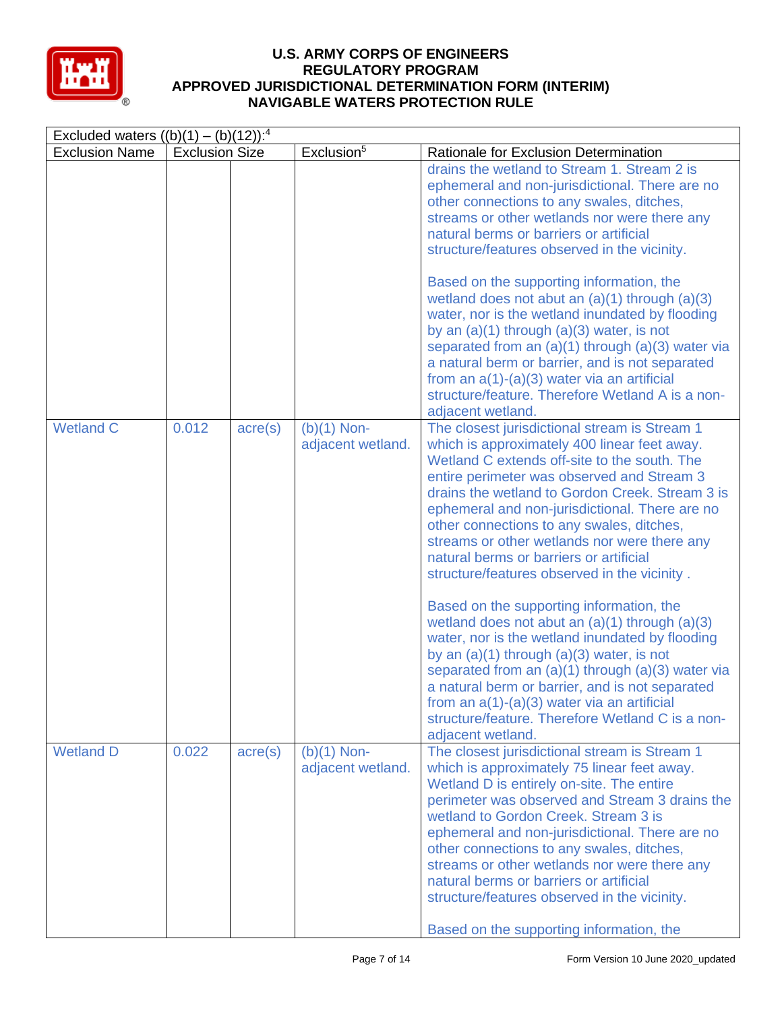

| Excluded waters $((b)(1) - (b)(12))$ : <sup>4</sup> |                       |                  |                                    |                                                                                                                                                                                                                                                                                                                                                                                                                                                                                                                                                                                                                                                                                                                                                                                                                                                                                                                                      |  |  |
|-----------------------------------------------------|-----------------------|------------------|------------------------------------|--------------------------------------------------------------------------------------------------------------------------------------------------------------------------------------------------------------------------------------------------------------------------------------------------------------------------------------------------------------------------------------------------------------------------------------------------------------------------------------------------------------------------------------------------------------------------------------------------------------------------------------------------------------------------------------------------------------------------------------------------------------------------------------------------------------------------------------------------------------------------------------------------------------------------------------|--|--|
| <b>Exclusion Name</b>                               | <b>Exclusion Size</b> |                  | Exclusion <sup>5</sup>             | Rationale for Exclusion Determination                                                                                                                                                                                                                                                                                                                                                                                                                                                                                                                                                                                                                                                                                                                                                                                                                                                                                                |  |  |
|                                                     |                       |                  |                                    | drains the wetland to Stream 1. Stream 2 is<br>ephemeral and non-jurisdictional. There are no<br>other connections to any swales, ditches,<br>streams or other wetlands nor were there any<br>natural berms or barriers or artificial<br>structure/features observed in the vicinity.                                                                                                                                                                                                                                                                                                                                                                                                                                                                                                                                                                                                                                                |  |  |
|                                                     |                       |                  |                                    | Based on the supporting information, the<br>wetland does not abut an $(a)(1)$ through $(a)(3)$<br>water, nor is the wetland inundated by flooding<br>by an $(a)(1)$ through $(a)(3)$ water, is not<br>separated from an $(a)(1)$ through $(a)(3)$ water via<br>a natural berm or barrier, and is not separated<br>from an $a(1)-(a)(3)$ water via an artificial<br>structure/feature. Therefore Wetland A is a non-<br>adjacent wetland.                                                                                                                                                                                                                                                                                                                                                                                                                                                                                             |  |  |
| <b>Wetland C</b>                                    | 0.012                 | $\text{acre}(s)$ | $(b)(1)$ Non-<br>adjacent wetland. | The closest jurisdictional stream is Stream 1<br>which is approximately 400 linear feet away.<br>Wetland C extends off-site to the south. The<br>entire perimeter was observed and Stream 3<br>drains the wetland to Gordon Creek. Stream 3 is<br>ephemeral and non-jurisdictional. There are no<br>other connections to any swales, ditches,<br>streams or other wetlands nor were there any<br>natural berms or barriers or artificial<br>structure/features observed in the vicinity.<br>Based on the supporting information, the<br>wetland does not abut an $(a)(1)$ through $(a)(3)$<br>water, nor is the wetland inundated by flooding<br>by an $(a)(1)$ through $(a)(3)$ water, is not<br>separated from an $(a)(1)$ through $(a)(3)$ water via<br>a natural berm or barrier, and is not separated<br>from an $a(1)-(a)(3)$ water via an artificial<br>structure/feature. Therefore Wetland C is a non-<br>adjacent wetland. |  |  |
| <b>Wetland D</b>                                    | 0.022                 | $\text{acre}(s)$ | $(b)(1)$ Non-<br>adjacent wetland. | The closest jurisdictional stream is Stream 1<br>which is approximately 75 linear feet away.<br>Wetland D is entirely on-site. The entire<br>perimeter was observed and Stream 3 drains the<br>wetland to Gordon Creek. Stream 3 is<br>ephemeral and non-jurisdictional. There are no<br>other connections to any swales, ditches,<br>streams or other wetlands nor were there any<br>natural berms or barriers or artificial<br>structure/features observed in the vicinity.<br>Based on the supporting information, the                                                                                                                                                                                                                                                                                                                                                                                                            |  |  |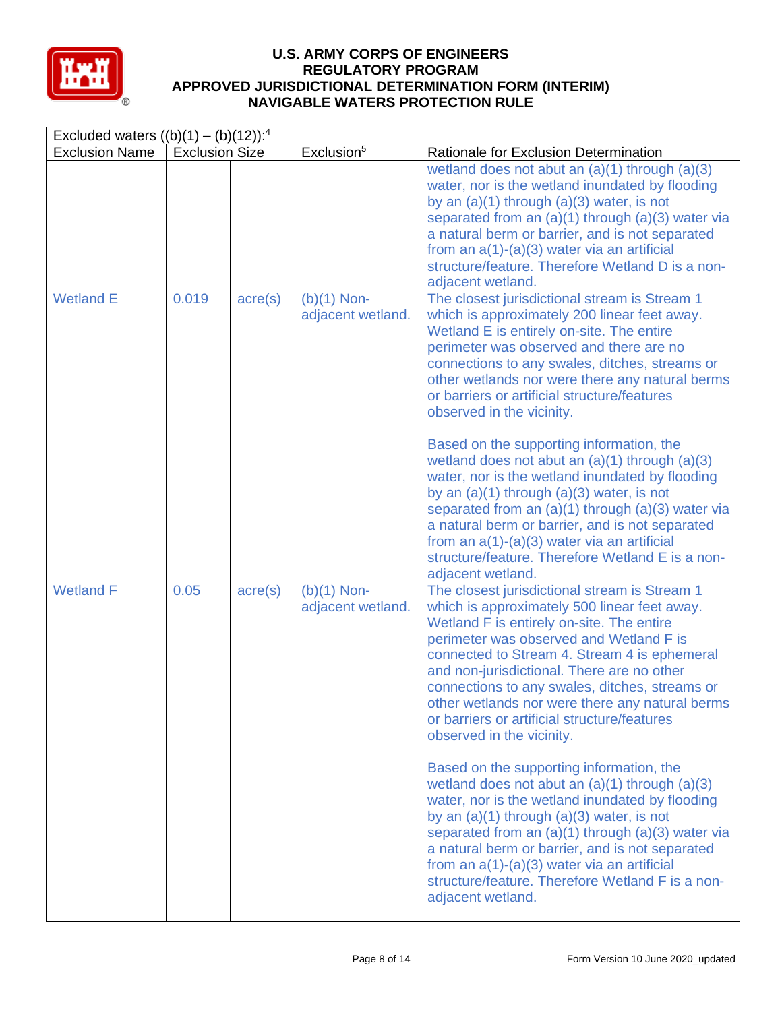

| Excluded waters $((b)(1) - (b)(12))$ : <sup>4</sup> |                       |                  |                                    |                                                                                                                                                                                                                                                                                                                                                                                                                                                                       |  |  |
|-----------------------------------------------------|-----------------------|------------------|------------------------------------|-----------------------------------------------------------------------------------------------------------------------------------------------------------------------------------------------------------------------------------------------------------------------------------------------------------------------------------------------------------------------------------------------------------------------------------------------------------------------|--|--|
| <b>Exclusion Name</b>                               | <b>Exclusion Size</b> |                  | Exclusion <sup>5</sup>             | Rationale for Exclusion Determination                                                                                                                                                                                                                                                                                                                                                                                                                                 |  |  |
|                                                     |                       |                  |                                    | wetland does not abut an $(a)(1)$ through $(a)(3)$<br>water, nor is the wetland inundated by flooding<br>by an $(a)(1)$ through $(a)(3)$ water, is not<br>separated from an $(a)(1)$ through $(a)(3)$ water via<br>a natural berm or barrier, and is not separated<br>from an $a(1)-(a)(3)$ water via an artificial<br>structure/feature. Therefore Wetland D is a non-<br>adjacent wetland.                                                                          |  |  |
| <b>Wetland E</b>                                    | 0.019                 | $\text{acre}(s)$ | $(b)(1)$ Non-<br>adjacent wetland. | The closest jurisdictional stream is Stream 1<br>which is approximately 200 linear feet away.<br>Wetland E is entirely on-site. The entire<br>perimeter was observed and there are no<br>connections to any swales, ditches, streams or<br>other wetlands nor were there any natural berms<br>or barriers or artificial structure/features<br>observed in the vicinity.<br>Based on the supporting information, the                                                   |  |  |
|                                                     |                       |                  |                                    | wetland does not abut an $(a)(1)$ through $(a)(3)$<br>water, nor is the wetland inundated by flooding<br>by an $(a)(1)$ through $(a)(3)$ water, is not<br>separated from an $(a)(1)$ through $(a)(3)$ water via<br>a natural berm or barrier, and is not separated<br>from an $a(1)-(a)(3)$ water via an artificial<br>structure/feature. Therefore Wetland E is a non-<br>adjacent wetland.                                                                          |  |  |
| <b>Wetland F</b>                                    | 0.05                  | $\text{acre}(s)$ | $(b)(1)$ Non-<br>adjacent wetland. | The closest jurisdictional stream is Stream 1<br>which is approximately 500 linear feet away.<br>Wetland F is entirely on-site. The entire<br>perimeter was observed and Wetland F is<br>connected to Stream 4. Stream 4 is ephemeral<br>and non-jurisdictional. There are no other<br>connections to any swales, ditches, streams or<br>other wetlands nor were there any natural berms<br>or barriers or artificial structure/features<br>observed in the vicinity. |  |  |
|                                                     |                       |                  |                                    | Based on the supporting information, the<br>wetland does not abut an $(a)(1)$ through $(a)(3)$<br>water, nor is the wetland inundated by flooding<br>by an $(a)(1)$ through $(a)(3)$ water, is not<br>separated from an $(a)(1)$ through $(a)(3)$ water via<br>a natural berm or barrier, and is not separated<br>from an $a(1)-(a)(3)$ water via an artificial<br>structure/feature. Therefore Wetland F is a non-<br>adjacent wetland.                              |  |  |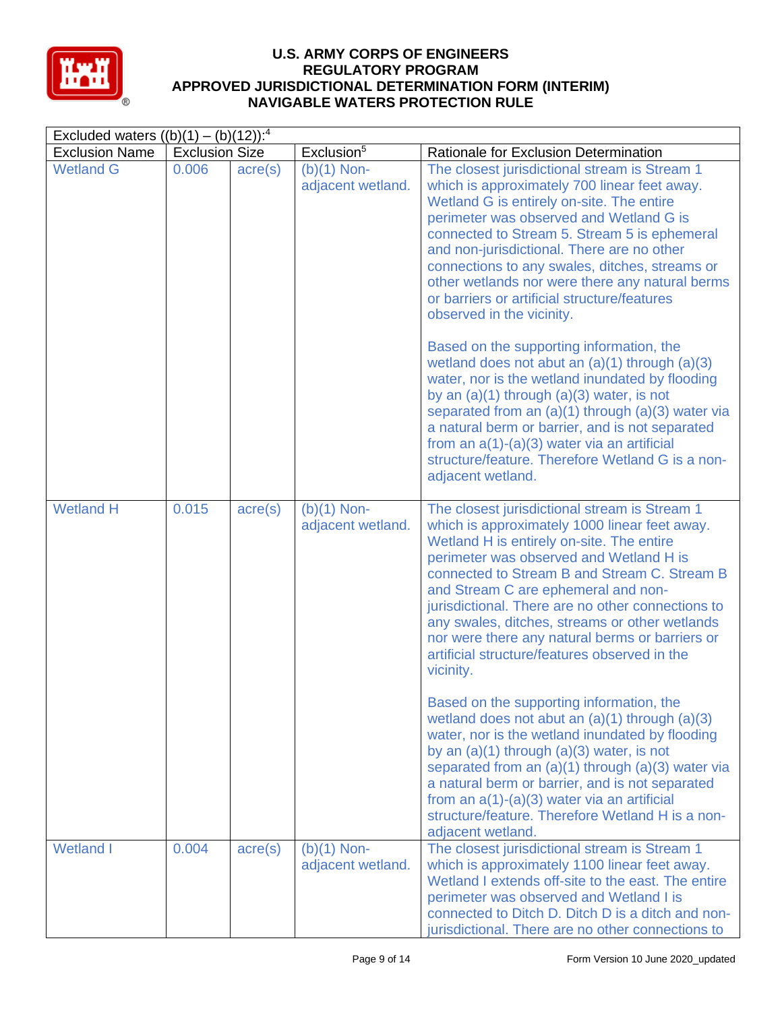

| Excluded waters $((b)(1) - (b)(12))$ : <sup>4</sup> |                       |                  |                                    |                                                                                                                                                                                                                                                                                                                                                                                                                                                                                                       |  |  |
|-----------------------------------------------------|-----------------------|------------------|------------------------------------|-------------------------------------------------------------------------------------------------------------------------------------------------------------------------------------------------------------------------------------------------------------------------------------------------------------------------------------------------------------------------------------------------------------------------------------------------------------------------------------------------------|--|--|
| <b>Exclusion Name</b>                               | <b>Exclusion Size</b> |                  | Exclusion <sup>5</sup>             | Rationale for Exclusion Determination                                                                                                                                                                                                                                                                                                                                                                                                                                                                 |  |  |
| <b>Wetland G</b>                                    | 0.006                 | $\text{acre}(s)$ | $(b)(1)$ Non-<br>adjacent wetland. | The closest jurisdictional stream is Stream 1<br>which is approximately 700 linear feet away.<br>Wetland G is entirely on-site. The entire<br>perimeter was observed and Wetland G is<br>connected to Stream 5. Stream 5 is ephemeral<br>and non-jurisdictional. There are no other<br>connections to any swales, ditches, streams or<br>other wetlands nor were there any natural berms<br>or barriers or artificial structure/features<br>observed in the vicinity.                                 |  |  |
|                                                     |                       |                  |                                    | Based on the supporting information, the<br>wetland does not abut an $(a)(1)$ through $(a)(3)$<br>water, nor is the wetland inundated by flooding<br>by an $(a)(1)$ through $(a)(3)$ water, is not<br>separated from an $(a)(1)$ through $(a)(3)$ water via<br>a natural berm or barrier, and is not separated<br>from an $a(1)-(a)(3)$ water via an artificial<br>structure/feature. Therefore Wetland G is a non-<br>adjacent wetland.                                                              |  |  |
| <b>Wetland H</b>                                    | 0.015                 | $\text{acre}(s)$ | $(b)(1)$ Non-<br>adjacent wetland. | The closest jurisdictional stream is Stream 1<br>which is approximately 1000 linear feet away.<br>Wetland H is entirely on-site. The entire<br>perimeter was observed and Wetland H is<br>connected to Stream B and Stream C. Stream B<br>and Stream C are ephemeral and non-<br>jurisdictional. There are no other connections to<br>any swales, ditches, streams or other wetlands<br>nor were there any natural berms or barriers or<br>artificial structure/features observed in the<br>vicinity. |  |  |
|                                                     |                       |                  |                                    | Based on the supporting information, the<br>wetland does not abut an $(a)(1)$ through $(a)(3)$<br>water, nor is the wetland inundated by flooding<br>by an $(a)(1)$ through $(a)(3)$ water, is not<br>separated from an $(a)(1)$ through $(a)(3)$ water via<br>a natural berm or barrier, and is not separated<br>from an $a(1)-(a)(3)$ water via an artificial<br>structure/feature. Therefore Wetland H is a non-<br>adjacent wetland.                                                              |  |  |
| <b>Wetland I</b>                                    | 0.004                 | $\text{acre}(s)$ | $(b)(1)$ Non-<br>adjacent wetland. | The closest jurisdictional stream is Stream 1<br>which is approximately 1100 linear feet away.<br>Wetland I extends off-site to the east. The entire<br>perimeter was observed and Wetland I is<br>connected to Ditch D. Ditch D is a ditch and non-<br>jurisdictional. There are no other connections to                                                                                                                                                                                             |  |  |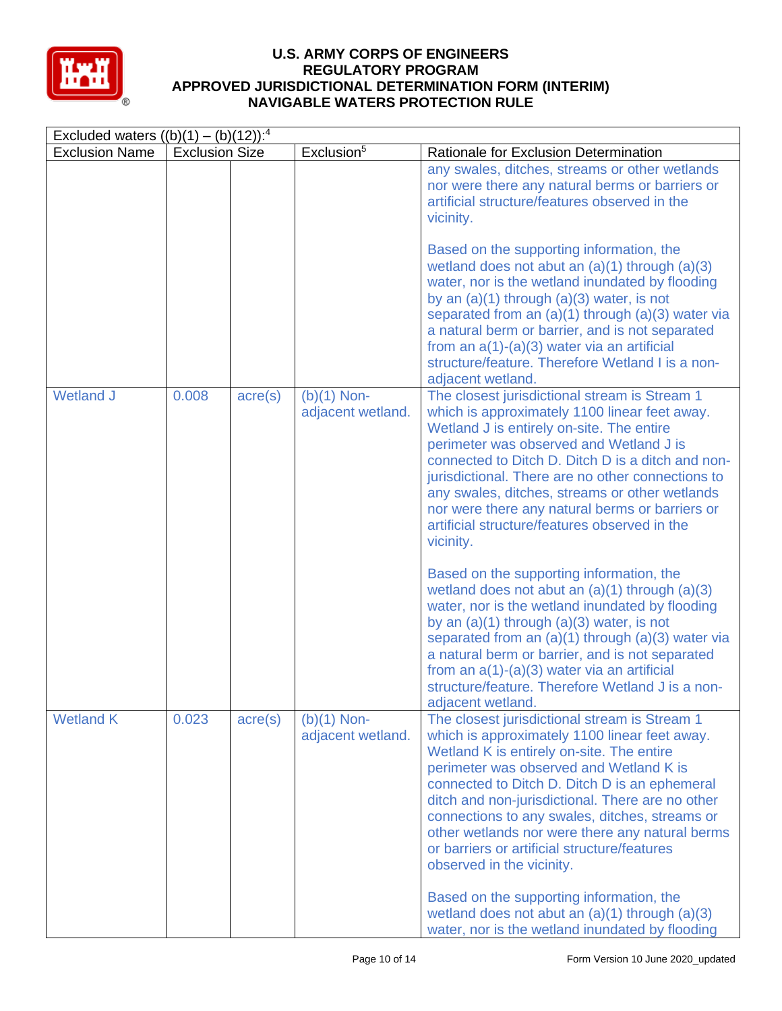

| Excluded waters $((b)(1) - (b)(12))$ : <sup>4</sup> |                       |                  |                                    |                                                                                                                                                                                                                                                                                                                                                                                                                                                                                                                           |  |  |
|-----------------------------------------------------|-----------------------|------------------|------------------------------------|---------------------------------------------------------------------------------------------------------------------------------------------------------------------------------------------------------------------------------------------------------------------------------------------------------------------------------------------------------------------------------------------------------------------------------------------------------------------------------------------------------------------------|--|--|
| <b>Exclusion Name</b>                               | <b>Exclusion Size</b> |                  | Exclusion <sup>5</sup>             | Rationale for Exclusion Determination                                                                                                                                                                                                                                                                                                                                                                                                                                                                                     |  |  |
|                                                     |                       |                  |                                    | any swales, ditches, streams or other wetlands<br>nor were there any natural berms or barriers or<br>artificial structure/features observed in the<br>vicinity.                                                                                                                                                                                                                                                                                                                                                           |  |  |
|                                                     |                       |                  |                                    | Based on the supporting information, the<br>wetland does not abut an $(a)(1)$ through $(a)(3)$<br>water, nor is the wetland inundated by flooding<br>by an $(a)(1)$ through $(a)(3)$ water, is not<br>separated from an $(a)(1)$ through $(a)(3)$ water via<br>a natural berm or barrier, and is not separated<br>from an $a(1)-(a)(3)$ water via an artificial<br>structure/feature. Therefore Wetland I is a non-<br>adjacent wetland.                                                                                  |  |  |
| <b>Wetland J</b>                                    | 0.008                 | $\text{acre}(s)$ | $(b)(1)$ Non-<br>adjacent wetland. | The closest jurisdictional stream is Stream 1<br>which is approximately 1100 linear feet away.<br>Wetland J is entirely on-site. The entire<br>perimeter was observed and Wetland J is<br>connected to Ditch D. Ditch D is a ditch and non-<br>jurisdictional. There are no other connections to<br>any swales, ditches, streams or other wetlands<br>nor were there any natural berms or barriers or<br>artificial structure/features observed in the<br>vicinity.                                                       |  |  |
|                                                     |                       |                  |                                    | Based on the supporting information, the<br>wetland does not abut an $(a)(1)$ through $(a)(3)$<br>water, nor is the wetland inundated by flooding<br>by an $(a)(1)$ through $(a)(3)$ water, is not<br>separated from an $(a)(1)$ through $(a)(3)$ water via<br>a natural berm or barrier, and is not separated<br>from an $a(1)-(a)(3)$ water via an artificial<br>structure/feature. Therefore Wetland J is a non-<br>adjacent wetland.                                                                                  |  |  |
| <b>Wetland K</b>                                    | 0.023                 | $\text{acre}(s)$ | $(b)(1)$ Non-<br>adjacent wetland. | The closest jurisdictional stream is Stream 1<br>which is approximately 1100 linear feet away.<br>Wetland K is entirely on-site. The entire<br>perimeter was observed and Wetland K is<br>connected to Ditch D. Ditch D is an ephemeral<br>ditch and non-jurisdictional. There are no other<br>connections to any swales, ditches, streams or<br>other wetlands nor were there any natural berms<br>or barriers or artificial structure/features<br>observed in the vicinity.<br>Based on the supporting information, the |  |  |
|                                                     |                       |                  |                                    | wetland does not abut an $(a)(1)$ through $(a)(3)$<br>water, nor is the wetland inundated by flooding                                                                                                                                                                                                                                                                                                                                                                                                                     |  |  |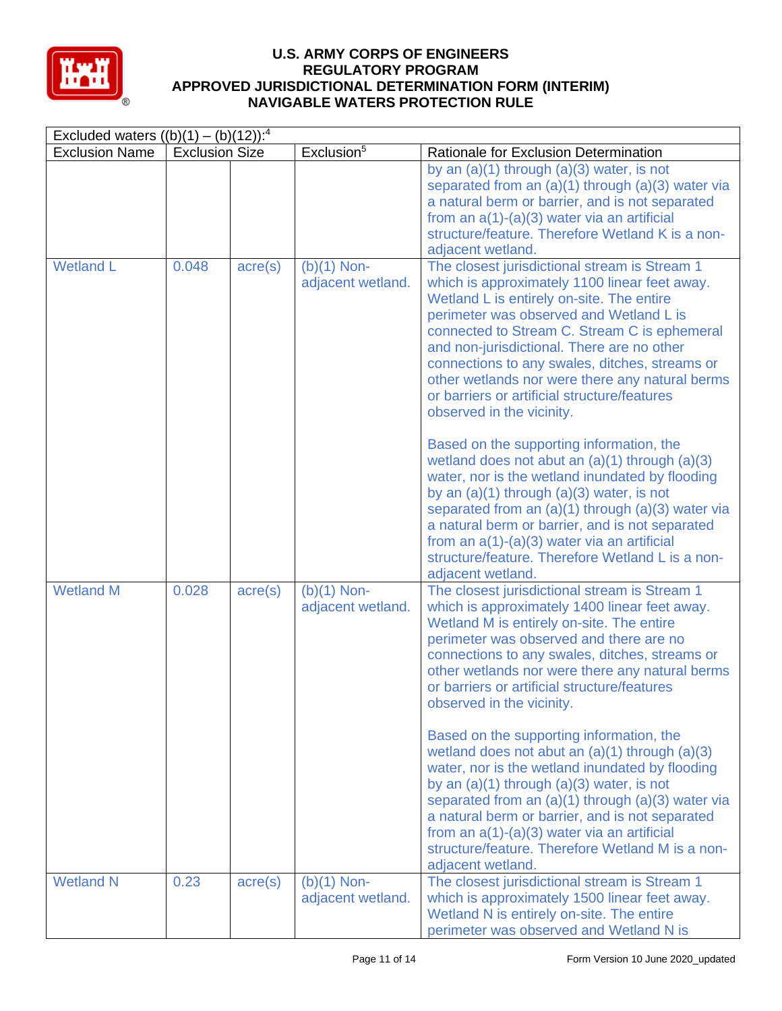

| Excluded waters $((b)(1) - (b)(12))$ : <sup>4</sup> |                                                 |                  |                                    |                                                                                                                                                                                                                                                                                                                                                                                                                                                                                                                                                                          |  |  |
|-----------------------------------------------------|-------------------------------------------------|------------------|------------------------------------|--------------------------------------------------------------------------------------------------------------------------------------------------------------------------------------------------------------------------------------------------------------------------------------------------------------------------------------------------------------------------------------------------------------------------------------------------------------------------------------------------------------------------------------------------------------------------|--|--|
| <b>Exclusion Name</b>                               | Exclusion <sup>5</sup><br><b>Exclusion Size</b> |                  |                                    | Rationale for Exclusion Determination                                                                                                                                                                                                                                                                                                                                                                                                                                                                                                                                    |  |  |
|                                                     |                                                 |                  |                                    | by an $(a)(1)$ through $(a)(3)$ water, is not<br>separated from an (a)(1) through (a)(3) water via<br>a natural berm or barrier, and is not separated<br>from an $a(1)-(a)(3)$ water via an artificial<br>structure/feature. Therefore Wetland K is a non-<br>adjacent wetland.                                                                                                                                                                                                                                                                                          |  |  |
| <b>Wetland L</b>                                    | 0.048                                           | $\text{acre}(s)$ | $(b)(1)$ Non-<br>adjacent wetland. | The closest jurisdictional stream is Stream 1<br>which is approximately 1100 linear feet away.<br>Wetland L is entirely on-site. The entire<br>perimeter was observed and Wetland L is<br>connected to Stream C. Stream C is ephemeral<br>and non-jurisdictional. There are no other<br>connections to any swales, ditches, streams or<br>other wetlands nor were there any natural berms<br>or barriers or artificial structure/features<br>observed in the vicinity.<br>Based on the supporting information, the<br>wetland does not abut an $(a)(1)$ through $(a)(3)$ |  |  |
|                                                     |                                                 |                  |                                    | water, nor is the wetland inundated by flooding<br>by an $(a)(1)$ through $(a)(3)$ water, is not<br>separated from an $(a)(1)$ through $(a)(3)$ water via<br>a natural berm or barrier, and is not separated<br>from an $a(1)-(a)(3)$ water via an artificial<br>structure/feature. Therefore Wetland L is a non-<br>adjacent wetland.                                                                                                                                                                                                                                   |  |  |
| <b>Wetland M</b>                                    | 0.028                                           | $\text{acre}(s)$ | $(b)(1)$ Non-<br>adjacent wetland. | The closest jurisdictional stream is Stream 1<br>which is approximately 1400 linear feet away.<br>Wetland M is entirely on-site. The entire<br>perimeter was observed and there are no<br>connections to any swales, ditches, streams or<br>other wetlands nor were there any natural berms<br>or barriers or artificial structure/features<br>observed in the vicinity.<br>Based on the supporting information, the                                                                                                                                                     |  |  |
|                                                     |                                                 |                  |                                    | wetland does not abut an $(a)(1)$ through $(a)(3)$<br>water, nor is the wetland inundated by flooding<br>by an $(a)(1)$ through $(a)(3)$ water, is not<br>separated from an $(a)(1)$ through $(a)(3)$ water via<br>a natural berm or barrier, and is not separated<br>from an $a(1)-(a)(3)$ water via an artificial<br>structure/feature. Therefore Wetland M is a non-<br>adjacent wetland.                                                                                                                                                                             |  |  |
| <b>Wetland N</b>                                    | 0.23                                            | $\text{acre}(s)$ | $(b)(1)$ Non-<br>adjacent wetland. | The closest jurisdictional stream is Stream 1<br>which is approximately 1500 linear feet away.<br>Wetland N is entirely on-site. The entire<br>perimeter was observed and Wetland N is                                                                                                                                                                                                                                                                                                                                                                                   |  |  |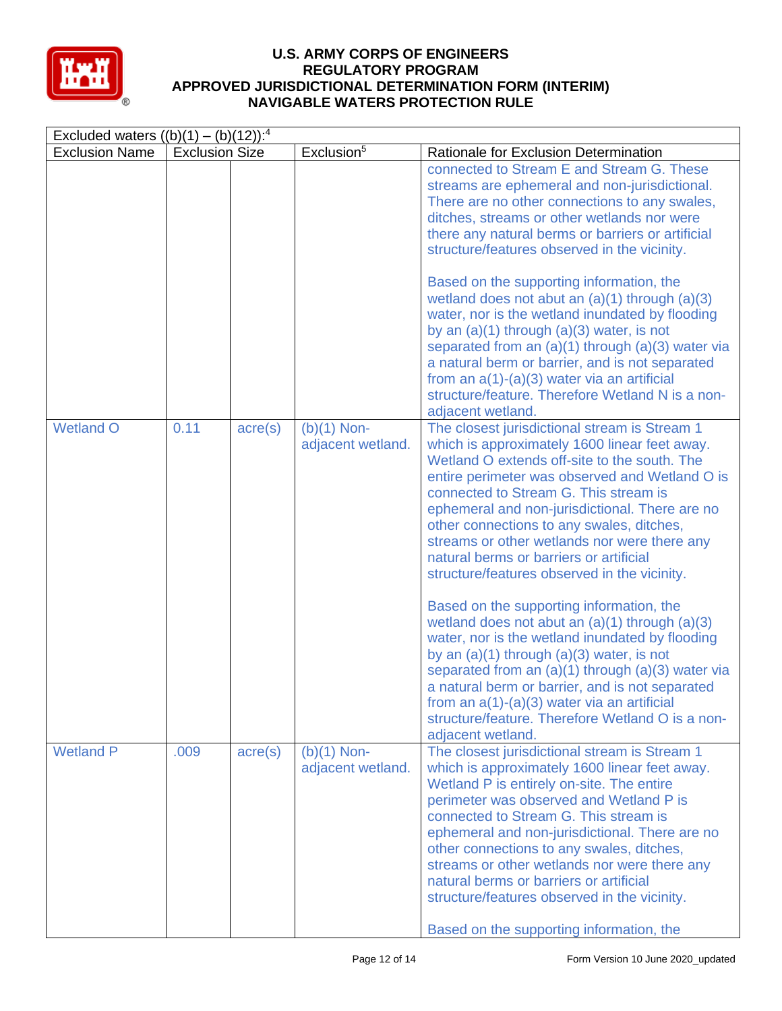

| Excluded waters $((b)(1) - (b)(12))$ : <sup>4</sup> |                       |                  |                                    |                                                                                                                                                                                                                                                                                                                                                                                                                                                                                                                                                                                                                                                                                                                                                                                                                                                                                                                                 |  |  |
|-----------------------------------------------------|-----------------------|------------------|------------------------------------|---------------------------------------------------------------------------------------------------------------------------------------------------------------------------------------------------------------------------------------------------------------------------------------------------------------------------------------------------------------------------------------------------------------------------------------------------------------------------------------------------------------------------------------------------------------------------------------------------------------------------------------------------------------------------------------------------------------------------------------------------------------------------------------------------------------------------------------------------------------------------------------------------------------------------------|--|--|
| <b>Exclusion Name</b>                               | <b>Exclusion Size</b> |                  | Exclusion <sup>5</sup>             | Rationale for Exclusion Determination                                                                                                                                                                                                                                                                                                                                                                                                                                                                                                                                                                                                                                                                                                                                                                                                                                                                                           |  |  |
|                                                     |                       |                  |                                    | connected to Stream E and Stream G. These<br>streams are ephemeral and non-jurisdictional.<br>There are no other connections to any swales,<br>ditches, streams or other wetlands nor were<br>there any natural berms or barriers or artificial<br>structure/features observed in the vicinity.                                                                                                                                                                                                                                                                                                                                                                                                                                                                                                                                                                                                                                 |  |  |
|                                                     |                       |                  |                                    | Based on the supporting information, the<br>wetland does not abut an $(a)(1)$ through $(a)(3)$<br>water, nor is the wetland inundated by flooding<br>by an $(a)(1)$ through $(a)(3)$ water, is not<br>separated from an $(a)(1)$ through $(a)(3)$ water via<br>a natural berm or barrier, and is not separated<br>from an $a(1)-(a)(3)$ water via an artificial<br>structure/feature. Therefore Wetland N is a non-<br>adjacent wetland.                                                                                                                                                                                                                                                                                                                                                                                                                                                                                        |  |  |
| <b>Wetland O</b>                                    | 0.11                  | $\text{acre}(s)$ | $(b)(1)$ Non-<br>adjacent wetland. | The closest jurisdictional stream is Stream 1<br>which is approximately 1600 linear feet away.<br>Wetland O extends off-site to the south. The<br>entire perimeter was observed and Wetland O is<br>connected to Stream G. This stream is<br>ephemeral and non-jurisdictional. There are no<br>other connections to any swales, ditches,<br>streams or other wetlands nor were there any<br>natural berms or barriers or artificial<br>structure/features observed in the vicinity.<br>Based on the supporting information, the<br>wetland does not abut an $(a)(1)$ through $(a)(3)$<br>water, nor is the wetland inundated by flooding<br>by an $(a)(1)$ through $(a)(3)$ water, is not<br>separated from an $(a)(1)$ through $(a)(3)$ water via<br>a natural berm or barrier, and is not separated<br>from an $a(1)-(a)(3)$ water via an artificial<br>structure/feature. Therefore Wetland O is a non-<br>adjacent wetland. |  |  |
| <b>Wetland P</b>                                    | .009                  | $\text{acre}(s)$ | $(b)(1)$ Non-<br>adjacent wetland. | The closest jurisdictional stream is Stream 1<br>which is approximately 1600 linear feet away.<br>Wetland P is entirely on-site. The entire<br>perimeter was observed and Wetland P is<br>connected to Stream G. This stream is<br>ephemeral and non-jurisdictional. There are no<br>other connections to any swales, ditches,<br>streams or other wetlands nor were there any<br>natural berms or barriers or artificial<br>structure/features observed in the vicinity.<br>Based on the supporting information, the                                                                                                                                                                                                                                                                                                                                                                                                           |  |  |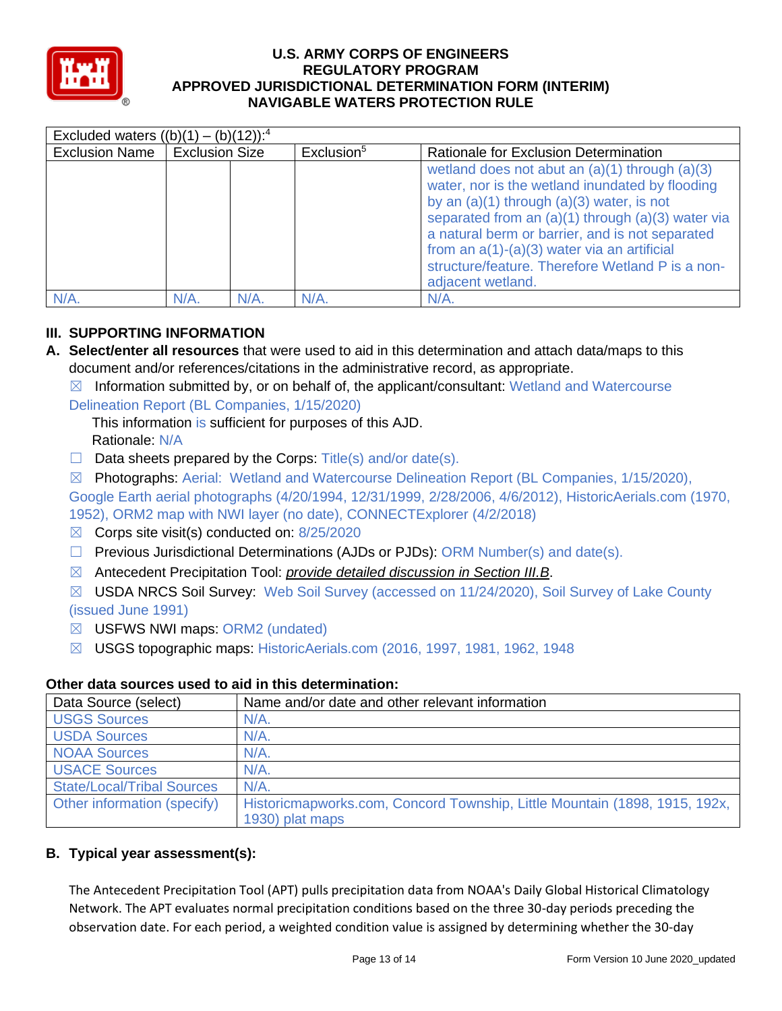

| Excluded waters $((b)(1) - (b)(12))$ : <sup>4</sup> |                       |                        |                                                                                                                                                                                                                                                                                                                                                                                              |  |  |  |
|-----------------------------------------------------|-----------------------|------------------------|----------------------------------------------------------------------------------------------------------------------------------------------------------------------------------------------------------------------------------------------------------------------------------------------------------------------------------------------------------------------------------------------|--|--|--|
| <b>Exclusion Name</b>                               | <b>Exclusion Size</b> | Exclusion <sup>5</sup> | Rationale for Exclusion Determination                                                                                                                                                                                                                                                                                                                                                        |  |  |  |
|                                                     |                       |                        | wetland does not abut an $(a)(1)$ through $(a)(3)$<br>water, nor is the wetland inundated by flooding<br>by an $(a)(1)$ through $(a)(3)$ water, is not<br>separated from an $(a)(1)$ through $(a)(3)$ water via<br>a natural berm or barrier, and is not separated<br>from an $a(1)-(a)(3)$ water via an artificial<br>structure/feature. Therefore Wetland P is a non-<br>adjacent wetland. |  |  |  |
| N/A                                                 | $N/A$ .<br>N/A        | $N/A$ .                | N/A                                                                                                                                                                                                                                                                                                                                                                                          |  |  |  |

# **III. SUPPORTING INFORMATION**

- **A. Select/enter all resources** that were used to aid in this determination and attach data/maps to this document and/or references/citations in the administrative record, as appropriate.
	- $\boxtimes$  Information submitted by, or on behalf of, the applicant/consultant: Wetland and Watercourse

Delineation Report (BL Companies, 1/15/2020)

This information is sufficient for purposes of this AJD. Rationale: N/A

- $\Box$  Data sheets prepared by the Corps: Title(s) and/or date(s).
- ☒ Photographs: Aerial: Wetland and Watercourse Delineation Report (BL Companies, 1/15/2020), Google Earth aerial photographs (4/20/1994, 12/31/1999, 2/28/2006, 4/6/2012), HistoricAerials.com (1970, 1952), ORM2 map with NWI layer (no date), CONNECTExplorer (4/2/2018)
- $\boxtimes$  Corps site visit(s) conducted on: 8/25/2020
- $\Box$  Previous Jurisdictional Determinations (AJDs or PJDs): ORM Number(s) and date(s).
- ☒ Antecedent Precipitation Tool: *provide detailed discussion in Section III.B*.
- ☒ USDA NRCS Soil Survey: Web Soil Survey (accessed on 11/24/2020), Soil Survey of Lake County (issued June 1991)
- ☒ USFWS NWI maps: ORM2 (undated)
- ☒ USGS topographic maps: HistoricAerials.com (2016, 1997, 1981, 1962, 1948

# **Other data sources used to aid in this determination:**

| Data Source (select)              | Name and/or date and other relevant information                                               |  |  |  |
|-----------------------------------|-----------------------------------------------------------------------------------------------|--|--|--|
| <b>USGS Sources</b>               | N/A.                                                                                          |  |  |  |
| <b>USDA Sources</b>               | $N/A$ .                                                                                       |  |  |  |
| <b>NOAA Sources</b>               | $N/A$ .                                                                                       |  |  |  |
| <b>USACE Sources</b>              | $N/A$ .                                                                                       |  |  |  |
| <b>State/Local/Tribal Sources</b> | $N/A$ .                                                                                       |  |  |  |
| Other information (specify)       | Historicmapworks.com, Concord Township, Little Mountain (1898, 1915, 192x,<br>1930) plat maps |  |  |  |

# **B. Typical year assessment(s):**

The Antecedent Precipitation Tool (APT) pulls precipitation data from NOAA's Daily Global Historical Climatology Network. The APT evaluates normal precipitation conditions based on the three 30-day periods preceding the observation date. For each period, a weighted condition value is assigned by determining whether the 30-day